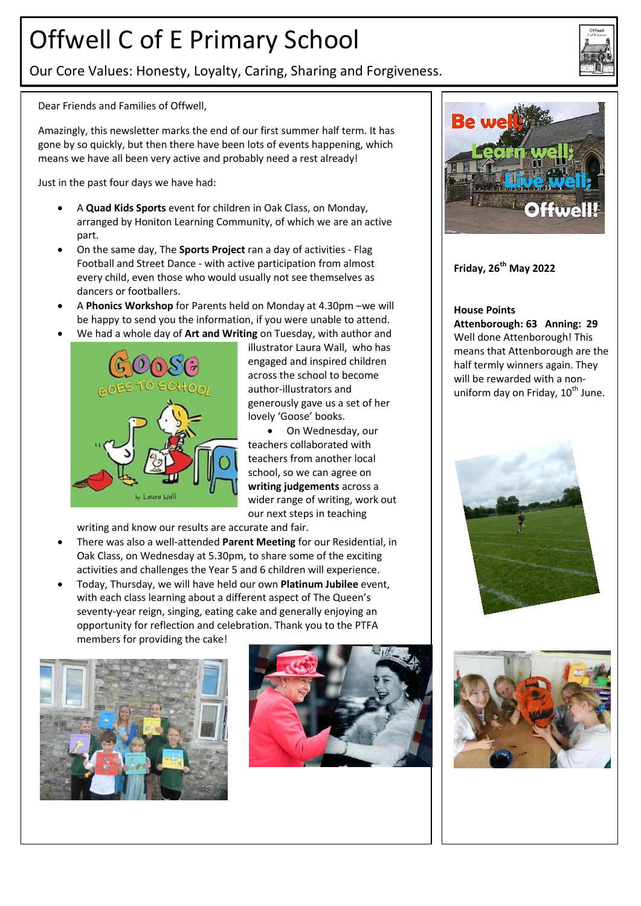## Offwell C of E Primary School

Our Core Values: Honesty, Loyalty, Caring, Sharing and Forgiveness.

Dear Friends and Families of Offwell,

Amazingly, this newsletter marks the end of our first summer half term. It has gone by so quickly, but then there have been lots of events happening, which means we have all been very active and probably need a rest already!

Just in the past four days we have had:

- A **Quad Kids Sports** event for children in Oak Class, on Monday, arranged by Honiton Learning Community, of which we are an active part.
- On the same day, The **Sports Project** ran a day of activities Flag Football and Street Dance - with active participation from almost every child, even those who would usually not see themselves as dancers or footballers.
- A **Phonics Workshop** for Parents held on Monday at 4.30pm –we will be happy to send you the information, if you were unable to attend.
- We had a whole day of **Art and Writing** on Tuesday, with author and



illustrator Laura Wall, who has engaged and inspired children across the school to become author-illustrators and generously gave us a set of her lovely 'Goose' books.

 On Wednesday, our teachers collaborated with teachers from another local school, so we can agree on **writing judgements** across a wider range of writing, work out our next steps in teaching

writing and know our results are accurate and fair.

- There was also a well-attended **Parent Meeting** for our Residential, in Oak Class, on Wednesday at 5.30pm, to share some of the exciting activities and challenges the Year 5 and 6 children will experience.
- Today, Thursday, we will have held our own **Platinum Jubilee** event, with each class learning about a different aspect of The Queen's seventy-year reign, singing, eating cake and generally enjoying an opportunity for reflection and celebration. Thank you to the PTFA members for providing the cake!







## **Friday, 26th May 2022**

#### **House Points**

**Attenborough: 63 Anning: 29** Well done Attenborough! This means that Attenborough are the half termly winners again. They will be rewarded with a nonuniform day on Friday,  $10^{th}$  June.